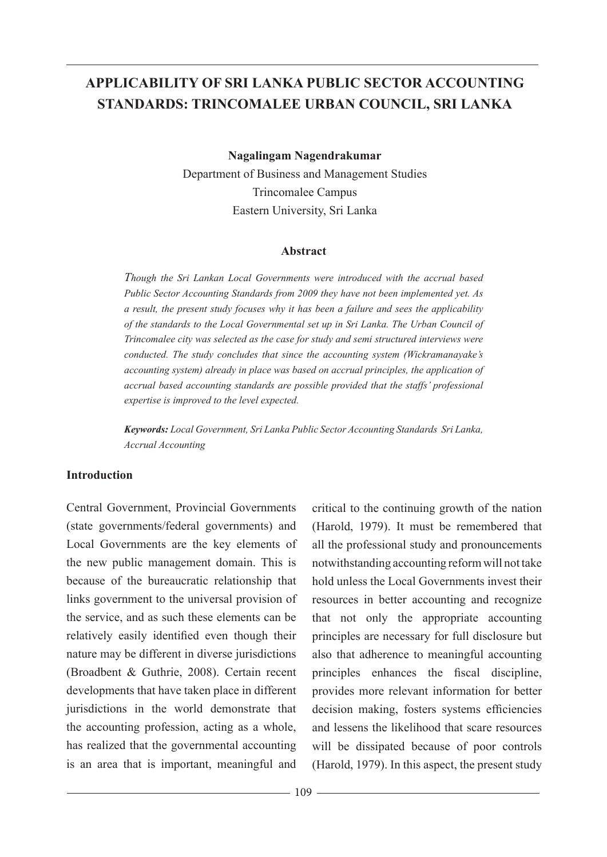# **APPLICABILITY OF SRI LANKA PUBLIC SECTOR ACCOUNTING STANDARDS: TRINCOMALEE URBAN COUNCIL, SRI LANKA**

**Nagalingam Nagendrakumar**

Department of Business and Management Studies Trincomalee Campus Eastern University, Sri Lanka

#### **Abstract**

*Though the Sri Lankan Local Governments were introduced with the accrual based Public Sector Accounting Standards from 2009 they have not been implemented yet. As a result, the present study focuses why it has been a failure and sees the applicability of the standards to the Local Governmental set up in Sri Lanka. The Urban Council of Trincomalee city was selected as the case for study and semi structured interviews were conducted. The study concludes that since the accounting system (Wickramanayake's accounting system) already in place was based on accrual principles, the application of accrual based accounting standards are possible provided that the staffs' professional expertise is improved to the level expected.*

*Keywords: Local Government, Sri Lanka Public Sector Accounting Standards Sri Lanka, Accrual Accounting*

#### **Introduction**

Central Government, Provincial Governments (state governments/federal governments) and Local Governments are the key elements of the new public management domain. This is because of the bureaucratic relationship that links government to the universal provision of the service, and as such these elements can be relatively easily identified even though their nature may be different in diverse jurisdictions (Broadbent & Guthrie, 2008). Certain recent developments that have taken place in different jurisdictions in the world demonstrate that the accounting profession, acting as a whole, has realized that the governmental accounting is an area that is important, meaningful and

critical to the continuing growth of the nation (Harold, 1979). It must be remembered that all the professional study and pronouncements notwithstanding accounting reform will not take hold unless the Local Governments invest their resources in better accounting and recognize that not only the appropriate accounting principles are necessary for full disclosure but also that adherence to meaningful accounting principles enhances the fiscal discipline, provides more relevant information for better decision making, fosters systems efficiencies and lessens the likelihood that scare resources will be dissipated because of poor controls (Harold, 1979). In this aspect, the present study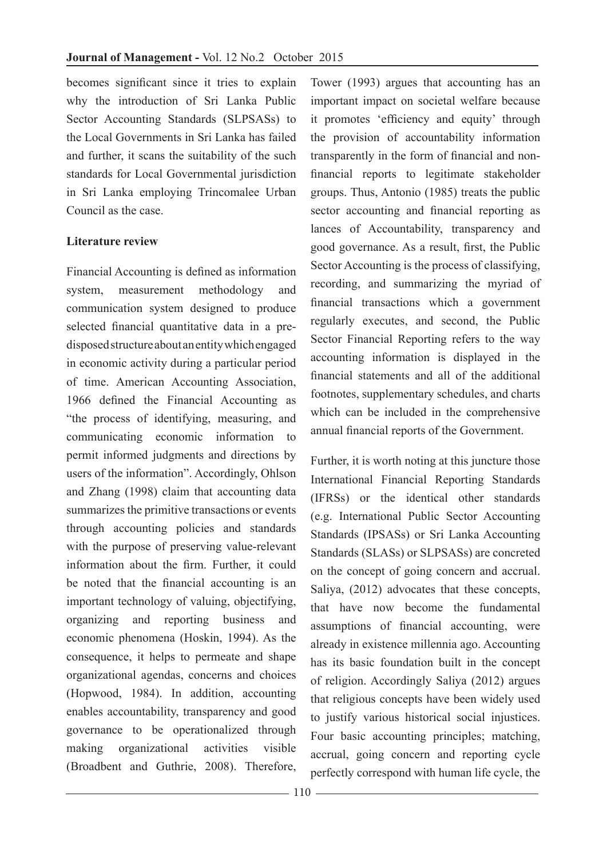becomes significant since it tries to explain why the introduction of Sri Lanka Public Sector Accounting Standards (SLPSASs) to the Local Governments in Sri Lanka has failed and further, it scans the suitability of the such standards for Local Governmental jurisdiction in Sri Lanka employing Trincomalee Urban Council as the case.

# **Literature review**

Financial Accounting is defined as information system, measurement methodology and communication system designed to produce selected financial quantitative data in a predisposed structure about an entity which engaged in economic activity during a particular period of time. American Accounting Association, 1966 defined the Financial Accounting as "the process of identifying, measuring, and communicating economic information to permit informed judgments and directions by users of the information". Accordingly, Ohlson and Zhang (1998) claim that accounting data summarizes the primitive transactions or events through accounting policies and standards with the purpose of preserving value-relevant information about the firm. Further, it could be noted that the financial accounting is an important technology of valuing, objectifying, organizing and reporting business and economic phenomena (Hoskin, 1994). As the consequence, it helps to permeate and shape organizational agendas, concerns and choices (Hopwood, 1984). In addition, accounting enables accountability, transparency and good governance to be operationalized through making organizational activities visible (Broadbent and Guthrie, 2008). Therefore, Tower (1993) argues that accounting has an important impact on societal welfare because it promotes 'efficiency and equity' through the provision of accountability information transparently in the form of financial and nonfinancial reports to legitimate stakeholder groups. Thus, Antonio (1985) treats the public sector accounting and financial reporting as lances of Accountability, transparency and good governance. As a result, first, the Public Sector Accounting is the process of classifying, recording, and summarizing the myriad of financial transactions which a government regularly executes, and second, the Public Sector Financial Reporting refers to the way accounting information is displayed in the financial statements and all of the additional footnotes, supplementary schedules, and charts which can be included in the comprehensive annual financial reports of the Government.

Further, it is worth noting at this juncture those International Financial Reporting Standards (IFRSs) or the identical other standards (e.g. International Public Sector Accounting Standards (IPSASs) or Sri Lanka Accounting Standards (SLASs) or SLPSASs) are concreted on the concept of going concern and accrual. Saliya, (2012) advocates that these concepts, that have now become the fundamental assumptions of financial accounting, were already in existence millennia ago. Accounting has its basic foundation built in the concept of religion. Accordingly Saliya (2012) argues that religious concepts have been widely used to justify various historical social injustices. Four basic accounting principles; matching, accrual, going concern and reporting cycle perfectly correspond with human life cycle, the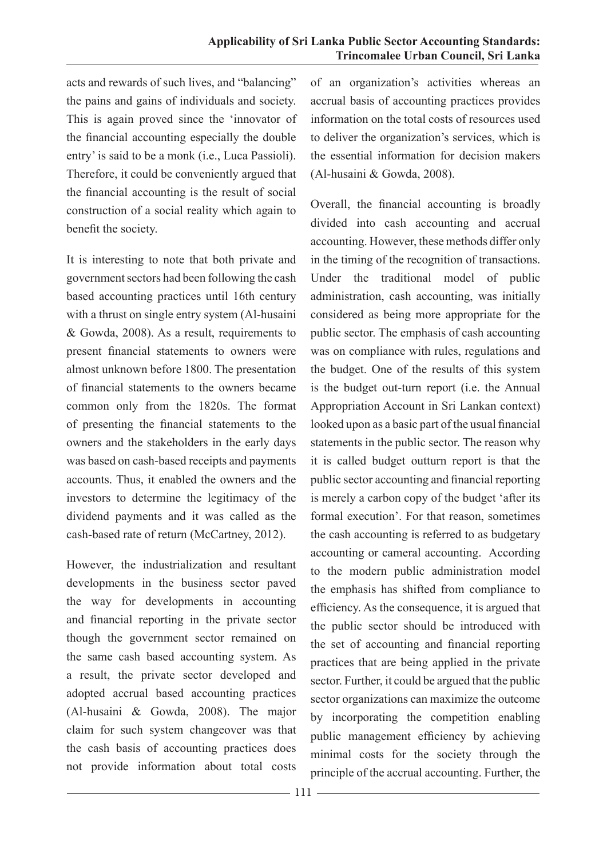acts and rewards of such lives, and "balancing" the pains and gains of individuals and society. This is again proved since the 'innovator of the financial accounting especially the double entry' is said to be a monk (i.e., Luca Passioli). Therefore, it could be conveniently argued that the financial accounting is the result of social construction of a social reality which again to benefit the society.

It is interesting to note that both private and government sectors had been following the cash based accounting practices until 16th century with a thrust on single entry system (Al-husaini & Gowda, 2008). As a result, requirements to present financial statements to owners were almost unknown before 1800. The presentation of financial statements to the owners became common only from the 1820s. The format of presenting the financial statements to the owners and the stakeholders in the early days was based on cash-based receipts and payments accounts. Thus, it enabled the owners and the investors to determine the legitimacy of the dividend payments and it was called as the cash-based rate of return (McCartney, 2012).

However, the industrialization and resultant developments in the business sector paved the way for developments in accounting and financial reporting in the private sector though the government sector remained on the same cash based accounting system. As a result, the private sector developed and adopted accrual based accounting practices (Al-husaini & Gowda, 2008). The major claim for such system changeover was that the cash basis of accounting practices does not provide information about total costs

of an organization's activities whereas an accrual basis of accounting practices provides information on the total costs of resources used to deliver the organization's services, which is the essential information for decision makers (Al-husaini & Gowda, 2008).

Overall, the financial accounting is broadly divided into cash accounting and accrual accounting. However, these methods differ only in the timing of the recognition of transactions. Under the traditional model of public administration, cash accounting, was initially considered as being more appropriate for the public sector. The emphasis of cash accounting was on compliance with rules, regulations and the budget. One of the results of this system is the budget out-turn report (i.e. the Annual Appropriation Account in Sri Lankan context) looked upon as a basic part of the usual financial statements in the public sector. The reason why it is called budget outturn report is that the public sector accounting and financial reporting is merely a carbon copy of the budget 'after its formal execution'. For that reason, sometimes the cash accounting is referred to as budgetary accounting or cameral accounting. According to the modern public administration model the emphasis has shifted from compliance to efficiency. As the consequence, it is argued that the public sector should be introduced with the set of accounting and financial reporting practices that are being applied in the private sector. Further, it could be argued that the public sector organizations can maximize the outcome by incorporating the competition enabling public management efficiency by achieving minimal costs for the society through the principle of the accrual accounting. Further, the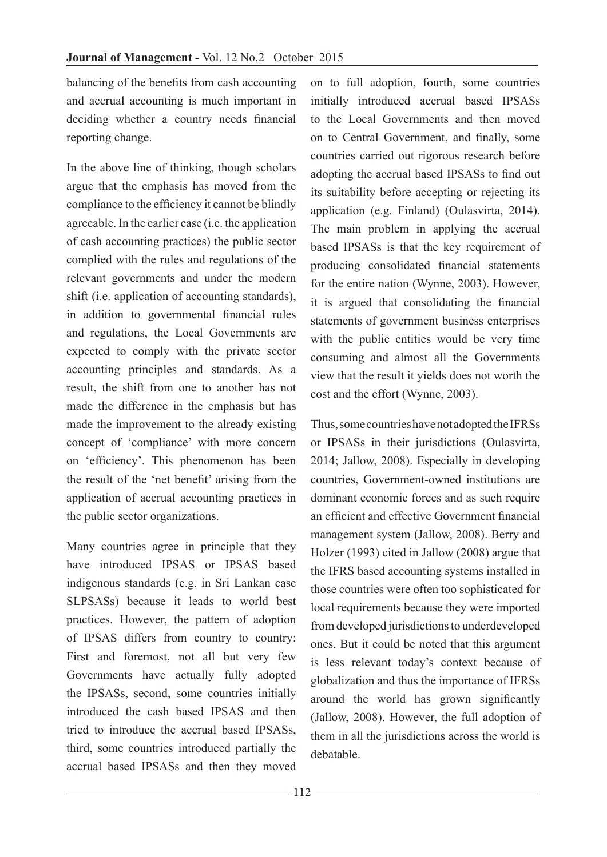balancing of the benefits from cash accounting and accrual accounting is much important in deciding whether a country needs financial reporting change.

In the above line of thinking, though scholars argue that the emphasis has moved from the compliance to the efficiency it cannot be blindly agreeable. In the earlier case (i.e. the application of cash accounting practices) the public sector complied with the rules and regulations of the relevant governments and under the modern shift (i.e. application of accounting standards), in addition to governmental financial rules and regulations, the Local Governments are expected to comply with the private sector accounting principles and standards. As a result, the shift from one to another has not made the difference in the emphasis but has made the improvement to the already existing concept of 'compliance' with more concern on 'efficiency'. This phenomenon has been the result of the 'net benefit' arising from the application of accrual accounting practices in the public sector organizations.

Many countries agree in principle that they have introduced IPSAS or IPSAS based indigenous standards (e.g. in Sri Lankan case SLPSASs) because it leads to world best practices. However, the pattern of adoption of IPSAS differs from country to country: First and foremost, not all but very few Governments have actually fully adopted the IPSASs, second, some countries initially introduced the cash based IPSAS and then tried to introduce the accrual based IPSASs, third, some countries introduced partially the accrual based IPSASs and then they moved on to full adoption, fourth, some countries initially introduced accrual based IPSASs to the Local Governments and then moved on to Central Government, and finally, some countries carried out rigorous research before adopting the accrual based IPSASs to find out its suitability before accepting or rejecting its application (e.g. Finland) (Oulasvirta, 2014). The main problem in applying the accrual based IPSASs is that the key requirement of producing consolidated financial statements for the entire nation (Wynne, 2003). However, it is argued that consolidating the financial statements of government business enterprises with the public entities would be very time consuming and almost all the Governments view that the result it yields does not worth the cost and the effort (Wynne, 2003).

Thus, some countries have not adopted the IFRSs or IPSASs in their jurisdictions (Oulasvirta, 2014; Jallow, 2008). Especially in developing countries, Government-owned institutions are dominant economic forces and as such require an efficient and effective Government financial management system (Jallow, 2008). Berry and Holzer (1993) cited in Jallow (2008) argue that the IFRS based accounting systems installed in those countries were often too sophisticated for local requirements because they were imported from developed jurisdictions to underdeveloped ones. But it could be noted that this argument is less relevant today's context because of globalization and thus the importance of IFRSs around the world has grown significantly (Jallow, 2008). However, the full adoption of them in all the jurisdictions across the world is debatable.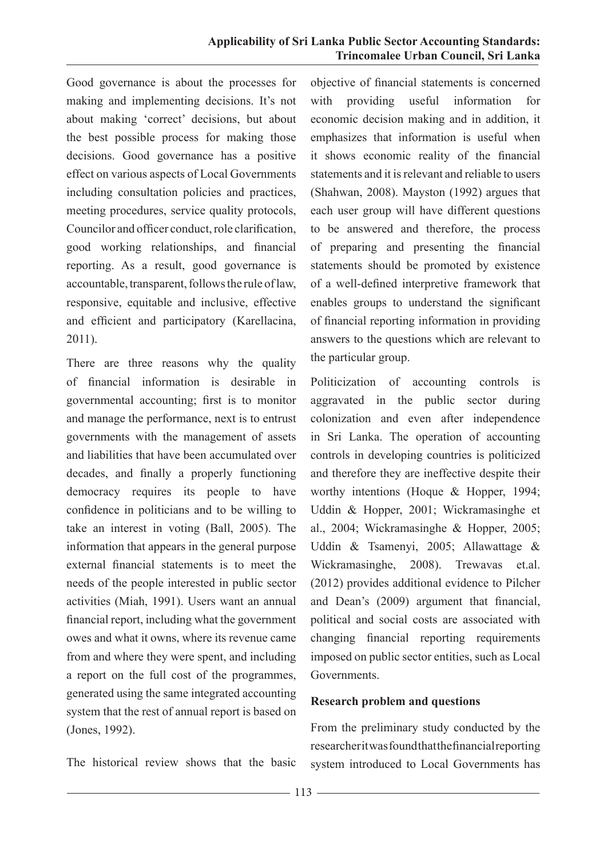Good governance is about the processes for making and implementing decisions. It's not about making 'correct' decisions, but about the best possible process for making those decisions. Good governance has a positive effect on various aspects of Local Governments including consultation policies and practices, meeting procedures, service quality protocols, Councilor and officer conduct, role clarification, good working relationships, and financial reporting. As a result, good governance is accountable, transparent, follows the rule of law, responsive, equitable and inclusive, effective and efficient and participatory (Karellacina, 2011).

There are three reasons why the quality of financial information is desirable in governmental accounting; first is to monitor and manage the performance, next is to entrust governments with the management of assets and liabilities that have been accumulated over decades, and finally a properly functioning democracy requires its people to have confidence in politicians and to be willing to take an interest in voting (Ball, 2005). The information that appears in the general purpose external financial statements is to meet the needs of the people interested in public sector activities (Miah, 1991). Users want an annual financial report, including what the government owes and what it owns, where its revenue came from and where they were spent, and including a report on the full cost of the programmes, generated using the same integrated accounting system that the rest of annual report is based on (Jones, 1992).

objective of financial statements is concerned with providing useful information for economic decision making and in addition, it emphasizes that information is useful when it shows economic reality of the financial statements and it is relevant and reliable to users (Shahwan, 2008). Mayston (1992) argues that each user group will have different questions to be answered and therefore, the process of preparing and presenting the financial statements should be promoted by existence of a well-defined interpretive framework that enables groups to understand the significant of financial reporting information in providing answers to the questions which are relevant to the particular group.

Politicization of accounting controls is aggravated in the public sector during colonization and even after independence in Sri Lanka. The operation of accounting controls in developing countries is politicized and therefore they are ineffective despite their worthy intentions (Hoque & Hopper, 1994; Uddin & Hopper, 2001; Wickramasinghe et al., 2004; Wickramasinghe & Hopper, 2005; Uddin & Tsamenyi, 2005; Allawattage & Wickramasinghe, 2008). Trewavas et.al. (2012) provides additional evidence to Pilcher and Dean's (2009) argument that financial, political and social costs are associated with changing financial reporting requirements imposed on public sector entities, such as Local Governments.

### **Research problem and questions**

The historical review shows that the basic

From the preliminary study conducted by the researcher it was found that the financial reporting system introduced to Local Governments has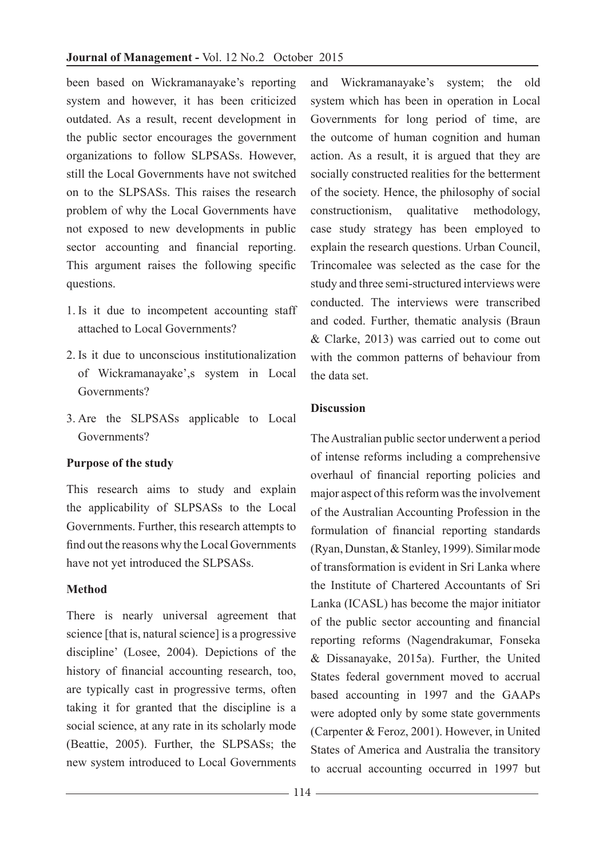been based on Wickramanayake's reporting system and however, it has been criticized outdated. As a result, recent development in the public sector encourages the government organizations to follow SLPSASs. However, still the Local Governments have not switched on to the SLPSASs. This raises the research problem of why the Local Governments have not exposed to new developments in public sector accounting and financial reporting. This argument raises the following specific questions.

- 1. Is it due to incompetent accounting staff attached to Local Governments?
- 2. Is it due to unconscious institutionalization of Wickramanayake',s system in Local Governments?
- 3. Are the SLPSASs applicable to Local Governments?

# **Purpose of the study**

This research aims to study and explain the applicability of SLPSASs to the Local Governments. Further, this research attempts to find out the reasons why the Local Governments have not yet introduced the SLPSASs.

### **Method**

There is nearly universal agreement that science [that is, natural science] is a progressive discipline' (Losee, 2004). Depictions of the history of financial accounting research, too, are typically cast in progressive terms, often taking it for granted that the discipline is a social science, at any rate in its scholarly mode (Beattie, 2005). Further, the SLPSASs; the new system introduced to Local Governments

and Wickramanayake's system; the old system which has been in operation in Local Governments for long period of time, are the outcome of human cognition and human action. As a result, it is argued that they are socially constructed realities for the betterment of the society. Hence, the philosophy of social constructionism, qualitative methodology, case study strategy has been employed to explain the research questions. Urban Council, Trincomalee was selected as the case for the study and three semi-structured interviews were conducted. The interviews were transcribed and coded. Further, thematic analysis (Braun & Clarke, 2013) was carried out to come out with the common patterns of behaviour from the data set.

# **Discussion**

The Australian public sector underwent a period of intense reforms including a comprehensive overhaul of financial reporting policies and major aspect of this reform was the involvement of the Australian Accounting Profession in the formulation of financial reporting standards (Ryan, Dunstan, & Stanley, 1999). Similar mode of transformation is evident in Sri Lanka where the Institute of Chartered Accountants of Sri Lanka (ICASL) has become the major initiator of the public sector accounting and financial reporting reforms (Nagendrakumar, Fonseka & Dissanayake, 2015a). Further, the United States federal government moved to accrual based accounting in 1997 and the GAAPs were adopted only by some state governments (Carpenter & Feroz, 2001). However, in United States of America and Australia the transitory to accrual accounting occurred in 1997 but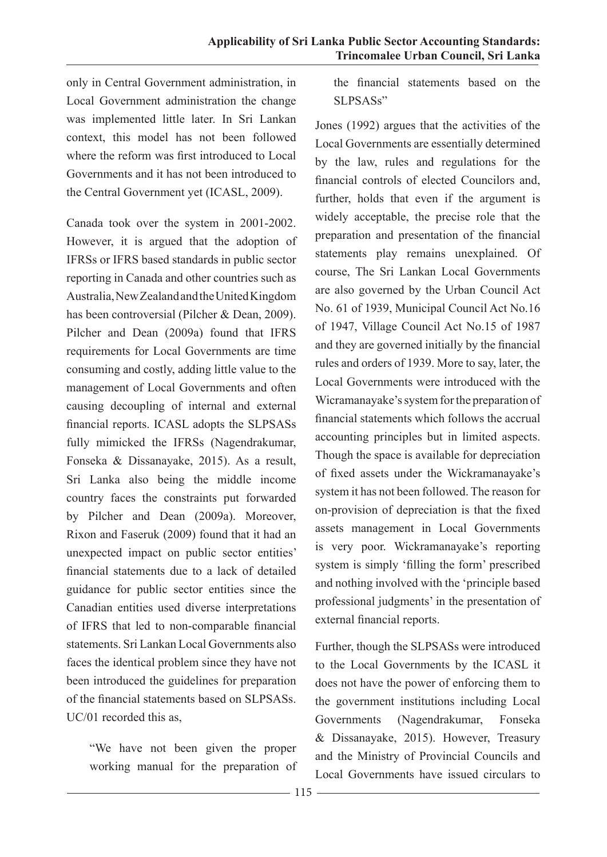only in Central Government administration, in Local Government administration the change was implemented little later. In Sri Lankan context, this model has not been followed where the reform was first introduced to Local Governments and it has not been introduced to the Central Government yet (ICASL, 2009).

Canada took over the system in 2001-2002. However, it is argued that the adoption of IFRSs or IFRS based standards in public sector reporting in Canada and other countries such as Australia, New Zealand and the United Kingdom has been controversial (Pilcher & Dean, 2009). Pilcher and Dean (2009a) found that IFRS requirements for Local Governments are time consuming and costly, adding little value to the management of Local Governments and often causing decoupling of internal and external financial reports. ICASL adopts the SLPSASs fully mimicked the IFRSs (Nagendrakumar, Fonseka & Dissanayake, 2015). As a result, Sri Lanka also being the middle income country faces the constraints put forwarded by Pilcher and Dean (2009a). Moreover, Rixon and Faseruk (2009) found that it had an unexpected impact on public sector entities' financial statements due to a lack of detailed guidance for public sector entities since the Canadian entities used diverse interpretations of IFRS that led to non-comparable financial statements. Sri Lankan Local Governments also faces the identical problem since they have not been introduced the guidelines for preparation of the financial statements based on SLPSASs. UC/01 recorded this as,

"We have not been given the proper working manual for the preparation of the financial statements based on the SLPSASs"

Jones (1992) argues that the activities of the Local Governments are essentially determined by the law, rules and regulations for the financial controls of elected Councilors and, further, holds that even if the argument is widely acceptable, the precise role that the preparation and presentation of the financial statements play remains unexplained. Of course, The Sri Lankan Local Governments are also governed by the Urban Council Act No. 61 of 1939, Municipal Council Act No.16 of 1947, Village Council Act No.15 of 1987 and they are governed initially by the financial rules and orders of 1939. More to say, later, the Local Governments were introduced with the Wicramanayake's system for the preparation of financial statements which follows the accrual accounting principles but in limited aspects. Though the space is available for depreciation of fixed assets under the Wickramanayake's system it has not been followed. The reason for on-provision of depreciation is that the fixed assets management in Local Governments is very poor. Wickramanayake's reporting system is simply 'filling the form' prescribed and nothing involved with the 'principle based professional judgments' in the presentation of external financial reports.

Further, though the SLPSASs were introduced to the Local Governments by the ICASL it does not have the power of enforcing them to the government institutions including Local Governments (Nagendrakumar, Fonseka & Dissanayake, 2015). However, Treasury and the Ministry of Provincial Councils and Local Governments have issued circulars to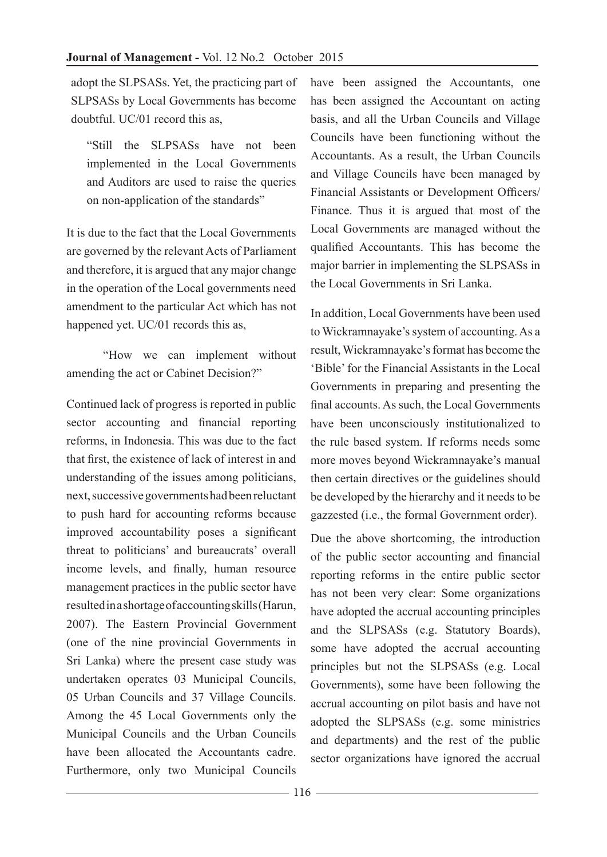adopt the SLPSASs. Yet, the practicing part of SLPSASs by Local Governments has become doubtful. UC/01 record this as,

"Still the SLPSASs have not been implemented in the Local Governments and Auditors are used to raise the queries on non-application of the standards"

It is due to the fact that the Local Governments are governed by the relevant Acts of Parliament and therefore, it is argued that any major change in the operation of the Local governments need amendment to the particular Act which has not happened yet. UC/01 records this as,

"How we can implement without amending the act or Cabinet Decision?"

Continued lack of progress is reported in public sector accounting and financial reporting reforms, in Indonesia. This was due to the fact that first, the existence of lack of interest in and understanding of the issues among politicians, next, successive governments had been reluctant to push hard for accounting reforms because improved accountability poses a significant threat to politicians' and bureaucrats' overall income levels, and finally, human resource management practices in the public sector have resulted in a shortage of accounting skills (Harun, 2007). The Eastern Provincial Government (one of the nine provincial Governments in Sri Lanka) where the present case study was undertaken operates 03 Municipal Councils, 05 Urban Councils and 37 Village Councils. Among the 45 Local Governments only the Municipal Councils and the Urban Councils have been allocated the Accountants cadre. Furthermore, only two Municipal Councils

have been assigned the Accountants, one has been assigned the Accountant on acting basis, and all the Urban Councils and Village Councils have been functioning without the Accountants. As a result, the Urban Councils and Village Councils have been managed by Financial Assistants or Development Officers/ Finance. Thus it is argued that most of the Local Governments are managed without the qualified Accountants. This has become the major barrier in implementing the SLPSASs in the Local Governments in Sri Lanka.

In addition, Local Governments have been used to Wickramnayake's system of accounting. As a result, Wickramnayake's format has become the 'Bible' for the Financial Assistants in the Local Governments in preparing and presenting the final accounts. As such, the Local Governments have been unconsciously institutionalized to the rule based system. If reforms needs some more moves beyond Wickramnayake's manual then certain directives or the guidelines should be developed by the hierarchy and it needs to be gazzested (i.e., the formal Government order).

Due the above shortcoming, the introduction of the public sector accounting and financial reporting reforms in the entire public sector has not been very clear: Some organizations have adopted the accrual accounting principles and the SLPSASs (e.g. Statutory Boards), some have adopted the accrual accounting principles but not the SLPSASs (e.g. Local Governments), some have been following the accrual accounting on pilot basis and have not adopted the SLPSASs (e.g. some ministries and departments) and the rest of the public sector organizations have ignored the accrual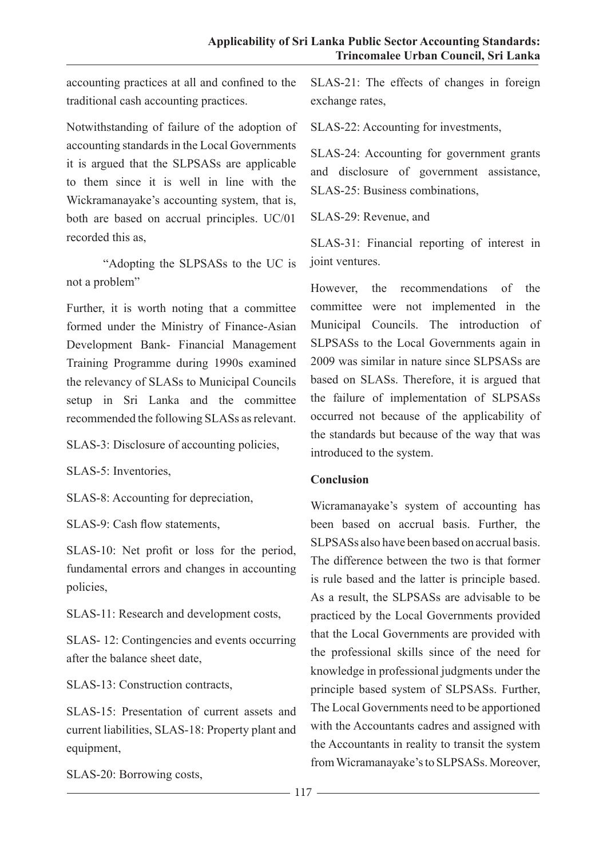accounting practices at all and confined to the traditional cash accounting practices.

Notwithstanding of failure of the adoption of accounting standards in the Local Governments it is argued that the SLPSASs are applicable to them since it is well in line with the Wickramanayake's accounting system, that is, both are based on accrual principles. UC/01 recorded this as,

"Adopting the SLPSASs to the UC is not a problem"

Further, it is worth noting that a committee formed under the Ministry of Finance-Asian Development Bank- Financial Management Training Programme during 1990s examined the relevancy of SLASs to Municipal Councils setup in Sri Lanka and the committee recommended the following SLASs as relevant.

SLAS-3: Disclosure of accounting policies,

SLAS-5: Inventories,

SLAS-8: Accounting for depreciation,

SLAS-9: Cash flow statements,

SLAS-10: Net profit or loss for the period, fundamental errors and changes in accounting policies,

SLAS-11: Research and development costs,

SLAS- 12: Contingencies and events occurring after the balance sheet date,

SLAS-13: Construction contracts,

SLAS-15: Presentation of current assets and current liabilities, SLAS-18: Property plant and equipment,

SLAS-20: Borrowing costs,

SLAS-21: The effects of changes in foreign exchange rates,

SLAS-22: Accounting for investments,

SLAS-24: Accounting for government grants and disclosure of government assistance, SLAS-25: Business combinations,

SLAS-29: Revenue, and

SLAS-31: Financial reporting of interest in joint ventures.

However, the recommendations of the committee were not implemented in the Municipal Councils. The introduction of SLPSASs to the Local Governments again in 2009 was similar in nature since SLPSASs are based on SLASs. Therefore, it is argued that the failure of implementation of SLPSASs occurred not because of the applicability of the standards but because of the way that was introduced to the system.

### **Conclusion**

Wicramanayake's system of accounting has been based on accrual basis. Further, the SLPSASs also have been based on accrual basis. The difference between the two is that former is rule based and the latter is principle based. As a result, the SLPSASs are advisable to be practiced by the Local Governments provided that the Local Governments are provided with the professional skills since of the need for knowledge in professional judgments under the principle based system of SLPSASs. Further, The Local Governments need to be apportioned with the Accountants cadres and assigned with the Accountants in reality to transit the system from Wicramanayake's to SLPSASs. Moreover,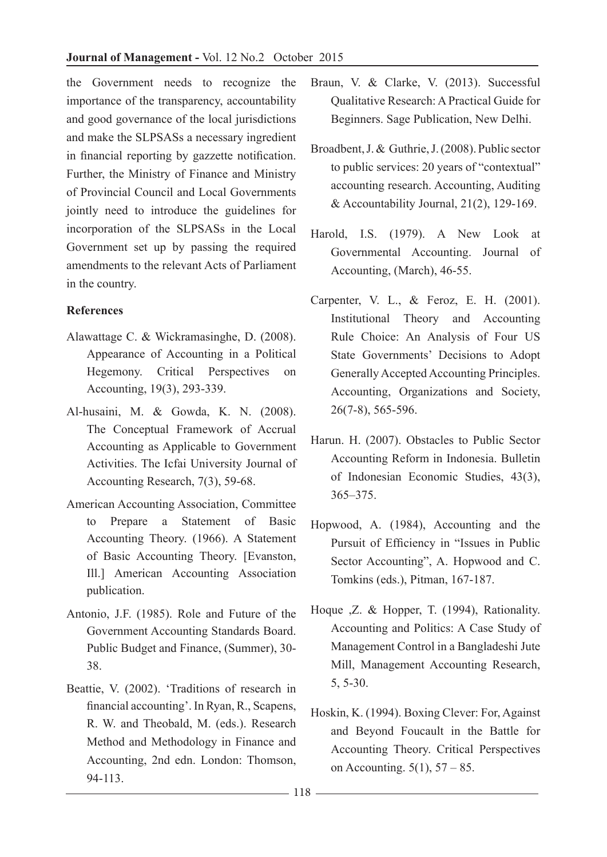the Government needs to recognize the importance of the transparency, accountability and good governance of the local jurisdictions and make the SLPSASs a necessary ingredient in financial reporting by gazzette notification. Further, the Ministry of Finance and Ministry of Provincial Council and Local Governments jointly need to introduce the guidelines for incorporation of the SLPSASs in the Local Government set up by passing the required amendments to the relevant Acts of Parliament in the country.

# **References**

- Alawattage C. & Wickramasinghe, D. (2008). Appearance of Accounting in a Political Hegemony. Critical Perspectives on Accounting, 19(3), 293-339.
- Al-husaini, M. & Gowda, K. N. (2008). The Conceptual Framework of Accrual Accounting as Applicable to Government Activities. The Icfai University Journal of Accounting Research, 7(3), 59-68.
- American Accounting Association, Committee to Prepare a Statement of Basic Accounting Theory. (1966). A Statement of Basic Accounting Theory. [Evanston, Ill.] American Accounting Association publication.
- Antonio, J.F. (1985). Role and Future of the Government Accounting Standards Board. Public Budget and Finance, (Summer), 30- 38.
- Beattie, V. (2002). 'Traditions of research in financial accounting'. In Ryan, R., Scapens, R. W. and Theobald, M. (eds.). Research Method and Methodology in Finance and Accounting, 2nd edn. London: Thomson, 94-113.
- Braun, V. & Clarke, V. (2013). Successful Qualitative Research: A Practical Guide for Beginners. Sage Publication, New Delhi.
- Broadbent, J. & Guthrie, J. (2008). Public sector to public services: 20 years of "contextual" accounting research. Accounting, Auditing & Accountability Journal,  $21(2)$ , 129-169.
- Harold, I.S. (1979). A New Look at Governmental Accounting. Journal of Accounting, (March), 46-55.
- Carpenter, V. L., & Feroz, E. H. (2001). Institutional Theory and Accounting Rule Choice: An Analysis of Four US State Governments' Decisions to Adopt Generally Accepted Accounting Principles. Accounting, Organizations and Society, 26(7-8), 565-596.
- Harun. H. (2007). Obstacles to Public Sector Accounting Reform in Indonesia. Bulletin of Indonesian Economic Studies, 43(3), 365–375.
- Hopwood, A. (1984), Accounting and the Pursuit of Efficiency in "Issues in Public Sector Accounting", A. Hopwood and C. Tomkins (eds.), Pitman, 167-187.
- Hoque ,Z. & Hopper, T. (1994), Rationality. Accounting and Politics: A Case Study of Management Control in a Bangladeshi Jute Mill, Management Accounting Research, 5, 5-30.
- Hoskin, K. (1994). Boxing Clever: For, Against and Beyond Foucault in the Battle for Accounting Theory. Critical Perspectives on Accounting. 5(1), 57 – 85.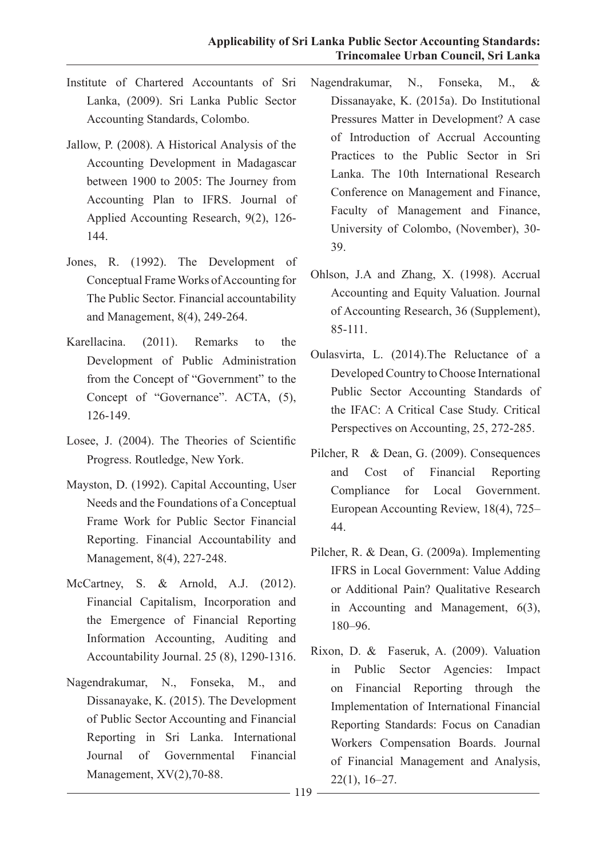- Institute of Chartered Accountants of Sri Lanka, (2009). Sri Lanka Public Sector Accounting Standards, Colombo.
- Jallow, P. (2008). A Historical Analysis of the Accounting Development in Madagascar between 1900 to 2005: The Journey from Accounting Plan to IFRS. Journal of Applied Accounting Research, 9(2), 126- 144.
- Jones, R. (1992). The Development of Conceptual Frame Works of Accounting for The Public Sector. Financial accountability and Management, 8(4), 249-264.
- Karellacina. (2011). Remarks to the Development of Public Administration from the Concept of "Government" to the Concept of "Governance". ACTA, (5), 126-149.
- Losee, J. (2004). The Theories of Scientific Progress. Routledge, New York.
- Mayston, D. (1992). Capital Accounting, User Needs and the Foundations of a Conceptual Frame Work for Public Sector Financial Reporting. Financial Accountability and Management, 8(4), 227-248.
- McCartney, S. & Arnold, A.J. (2012). Financial Capitalism, Incorporation and the Emergence of Financial Reporting Information Accounting, Auditing and Accountability Journal. 25 (8), 1290-1316.
- Nagendrakumar, N., Fonseka, M., and Dissanayake, K. (2015). The Development of Public Sector Accounting and Financial Reporting in Sri Lanka. International Journal of Governmental Financial Management, XV(2),70-88.
- Nagendrakumar, N., Fonseka, M., & Dissanayake, K. (2015a). Do Institutional Pressures Matter in Development? A case of Introduction of Accrual Accounting Practices to the Public Sector in Sri Lanka. The 10th International Research Conference on Management and Finance, Faculty of Management and Finance, University of Colombo, (November), 30- 39.
- Ohlson, J.A and Zhang, X. (1998). Accrual Accounting and Equity Valuation. Journal of Accounting Research, 36 (Supplement), 85-111.
- Oulasvirta, L. (2014).The Reluctance of a Developed Country to Choose International Public Sector Accounting Standards of the IFAC: A Critical Case Study. Critical Perspectives on Accounting, 25, 272-285.
- Pilcher, R & Dean, G. (2009). Consequences and Cost of Financial Reporting Compliance for Local Government. European Accounting Review, 18(4), 725– 44.
- Pilcher, R. & Dean, G. (2009a). Implementing IFRS in Local Government: Value Adding or Additional Pain? Qualitative Research in Accounting and Management, 6(3), 180–96.
- Rixon, D. & Faseruk, A. (2009). Valuation in Public Sector Agencies: Impact on Financial Reporting through the Implementation of International Financial Reporting Standards: Focus on Canadian Workers Compensation Boards. Journal of Financial Management and Analysis, 22(1), 16–27.